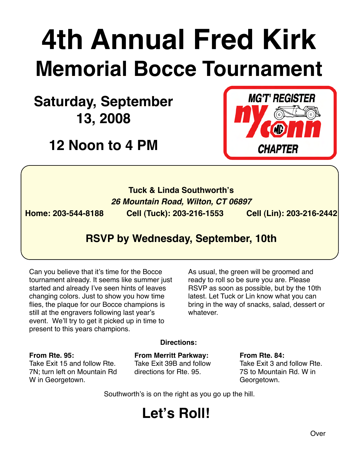# **4th Annual Fred Kirk Memorial Bocce Tournament**

**Saturday, September 13, 2008**

**12 Noon to 4 PM**



### **Tuck & Linda Southworth's** *26 Mountain Road, Wilton, CT 06897*

**Home: 203-544-8188 Cell (Tuck): 203-216-1553 Cell (Lin): 203-216-2442**

### **RSVP by Wednesday, September, 10th**

Can you believe that it's time for the Bocce tournament already. It seems like summer just started and already I've seen hints of leaves changing colors. Just to show you how time flies, the plaque for our Bocce champions is still at the engravers following last year's event. We'll try to get it picked up in time to present to this years champions.

As usual, the green will be groomed and ready to roll so be sure you are. Please RSVP as soon as possible, but by the 10th latest. Let Tuck or Lin know what you can bring in the way of snacks, salad, dessert or whatever.

### **From Rte. 95:**

Take Exit 15 and follow Rte. 7N; turn left on Mountain Rd W in Georgetown.

### **Directions:**

**From Merritt Parkway:** Take Exit 39B and follow directions for Rte. 95.

**From Rte. 84:** Take Exit 3 and follow Rte. 7S to Mountain Rd. W in Georgetown.

Southworth's is on the right as you go up the hill.

### **Let's Roll!**